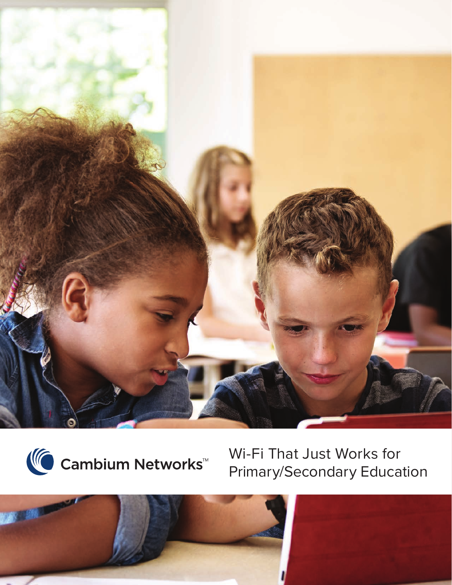



Wi-Fi That Just Works for Primary/Secondary Education

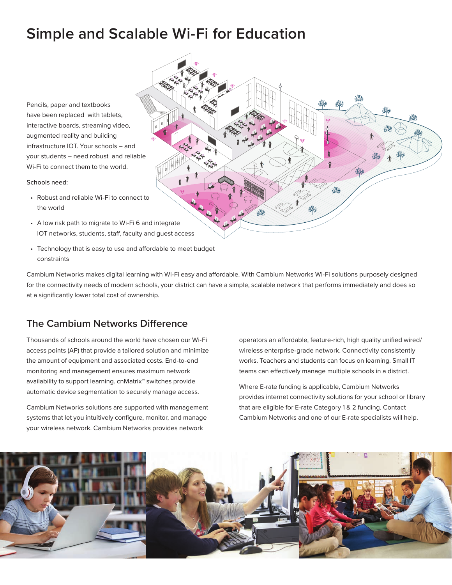# **Simple and Scalable Wi-Fi for Education**

Pencils, paper and textbooks have been replaced with tablets, interactive boards, streaming video, augmented reality and building infrastructure IOT. Your schools – and your students – need robust and reliable Wi-Fi to connect them to the world.

#### Schools need:

- Robust and reliable Wi-Fi to connect to the world
- A low risk path to migrate to Wi-Fi 6 and integrate IOT networks, students, staff, faculty and guest access
- Technology that is easy to use and affordable to meet budget constraints

Cambium Networks makes digital learning with Wi-Fi easy and affordable. With Cambium Networks Wi-Fi solutions purposely designed for the connectivity needs of modern schools, your district can have a simple, scalable network that performs immediately and does so at a significantly lower total cost of ownership.

## **The Cambium Networks Difference**

Thousands of schools around the world have chosen our Wi-Fi access points (AP) that provide a tailored solution and minimize the amount of equipment and associated costs. End-to-end monitoring and management ensures maximum network availability to support learning. cnMatrix™ switches provide automatic device segmentation to securely manage access.

Cambium Networks solutions are supported with management systems that let you intuitively configure, monitor, and manage your wireless network. Cambium Networks provides network

operators an affordable, feature-rich, high quality unified wired/ wireless enterprise-grade network. Connectivity consistently works. Teachers and students can focus on learning. Small IT teams can effectively manage multiple schools in a district.

Where E-rate funding is applicable, Cambium Networks provides internet connectivity solutions for your school or library that are eligible for E-rate Category 1 & 2 funding. Contact Cambium Networks and one of our E-rate specialists will help.



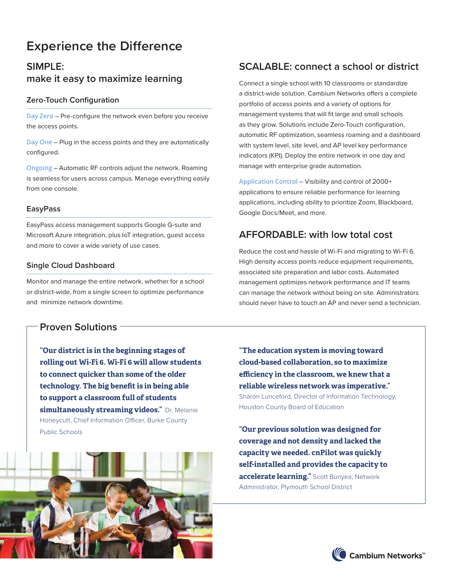# **Experience the Difference**

# **SIMPLE: make it easy to maximize learning**

## **Zero-Touch Configuration**

**Day Zero** – Pre-configure the network even before you receive the access points.

**Day One** – Plug in the access points and they are automatically configured.

**Ongoing** – Automatic RF controls adjust the network. Roaming is seamless for users across campus. Manage everything easily from one console.

### **EasyPass**

EasyPass access management supports Google G-suite and Microsoft Azure integration, plus IoT integration, guest access and more to cover a wide variety of use cases.

### **Single Cloud Dashboard**

Monitor and manage the entire network, whether for a school or district-wide, from a single screen to optimize performance and minimize network downtime.

## **Proven Solutions**

**"Our district is in the beginning stages of rolling out Wi-Fi 6. Wi-Fi 6 will allow students to connect quicker than some of the older technology. The big benefit is in being able to support a classroom full of students simultaneously streaming videos."** Dr. Melanie Honeycutt, Chief Information Officer, Burke County Public Schools



## **SCALABLE: connect a school or district**

Connect a single school with 10 classrooms or standardize a district-wide solution. Cambium Networks offers a complete portfolio of access points and a variety of options for management systems that will fit large and small schools as they grow. Solutions include Zero-Touch configuration, automatic RF optimization, seamless roaming and a dashboard with system level, site level, and AP level key performance indicators (KPI). Deploy the entire network in one day and manage with enterprise grade automation.

**Application Control** – Visibility and control of 2000+ applications to ensure reliable performance for learning applications, including ability to prioritize Zoom, Blackboard, Google Docs/Meet, and more.

## **AFFORDABLE: with low total cost**

Reduce the cost and hassle of Wi-Fi and migrating to Wi-Fi 6. High density access points reduce equipment requirements, associated site preparation and labor costs. Automated management optimizes network performance and IT teams can manage the network without being on site. Administrators should never have to touch an AP and never send a technician.

**"The education system is moving toward cloud-based collaboration, so to maximize efficiency in the classroom, we knew that a reliable wireless network was imperative."**  Sharon Lunceford, Director of Information Technology, Houston County Board of Education

**"Our previous solution was designed for coverage and not density and lacked the capacity we needed. cnPilot was quickly self-installed and provides the capacity to accelerate learning."** Scott Bunyea, Network Administrator, Plymouth School District